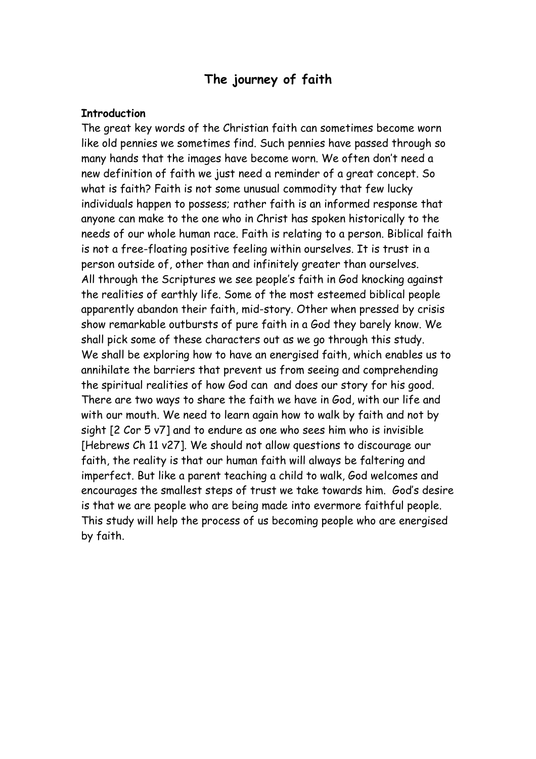# **The journey of faith**

#### **Introduction**

The great key words of the Christian faith can sometimes become worn like old pennies we sometimes find. Such pennies have passed through so many hands that the images have become worn. We often don't need a new definition of faith we just need a reminder of a great concept. So what is faith? Faith is not some unusual commodity that few lucky individuals happen to possess; rather faith is an informed response that anyone can make to the one who in Christ has spoken historically to the needs of our whole human race. Faith is relating to a person. Biblical faith is not a free-floating positive feeling within ourselves. It is trust in a person outside of, other than and infinitely greater than ourselves. All through the Scriptures we see people's faith in God knocking against the realities of earthly life. Some of the most esteemed biblical people apparently abandon their faith, mid-story. Other when pressed by crisis show remarkable outbursts of pure faith in a God they barely know. We shall pick some of these characters out as we go through this study. We shall be exploring how to have an energised faith, which enables us to annihilate the barriers that prevent us from seeing and comprehending the spiritual realities of how God can and does our story for his good. There are two ways to share the faith we have in God, with our life and with our mouth. We need to learn again how to walk by faith and not by sight [2 Cor 5 v7] and to endure as one who sees him who is invisible [Hebrews Ch 11 v27]. We should not allow questions to discourage our faith, the reality is that our human faith will always be faltering and imperfect. But like a parent teaching a child to walk, God welcomes and encourages the smallest steps of trust we take towards him. God's desire is that we are people who are being made into evermore faithful people. This study will help the process of us becoming people who are energised by faith.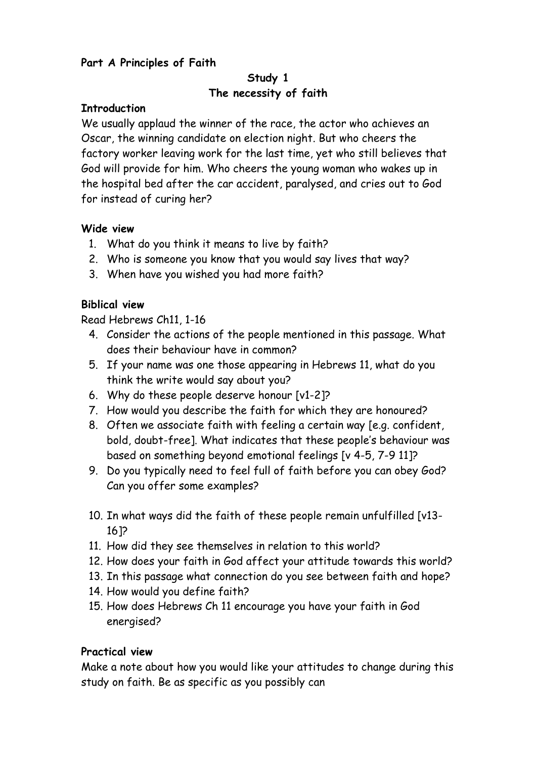## **Part A Principles of Faith**

## **Study 1 The necessity of faith**

#### **Introduction**

We usually applaud the winner of the race, the actor who achieves an Oscar, the winning candidate on election night. But who cheers the factory worker leaving work for the last time, yet who still believes that God will provide for him. Who cheers the young woman who wakes up in the hospital bed after the car accident, paralysed, and cries out to God for instead of curing her?

## **Wide view**

- 1. What do you think it means to live by faith?
- 2. Who is someone you know that you would say lives that way?
- 3. When have you wished you had more faith?

## **Biblical view**

Read Hebrews Ch11, 1-16

- 4. Consider the actions of the people mentioned in this passage. What does their behaviour have in common?
- 5. If your name was one those appearing in Hebrews 11, what do you think the write would say about you?
- 6. Why do these people deserve honour [v1-2]?
- 7. How would you describe the faith for which they are honoured?
- 8. Often we associate faith with feeling a certain way [e.g. confident, bold, doubt-free]. What indicates that these people's behaviour was based on something beyond emotional feelings [v 4-5, 7-9 11]?
- 9. Do you typically need to feel full of faith before you can obey God? Can you offer some examples?
- 10. In what ways did the faith of these people remain unfulfilled [v13- 16]?
- 11. How did they see themselves in relation to this world?
- 12. How does your faith in God affect your attitude towards this world?
- 13. In this passage what connection do you see between faith and hope?
- 14. How would you define faith?
- 15. How does Hebrews Ch 11 encourage you have your faith in God energised?

#### **Practical view**

Make a note about how you would like your attitudes to change during this study on faith. Be as specific as you possibly can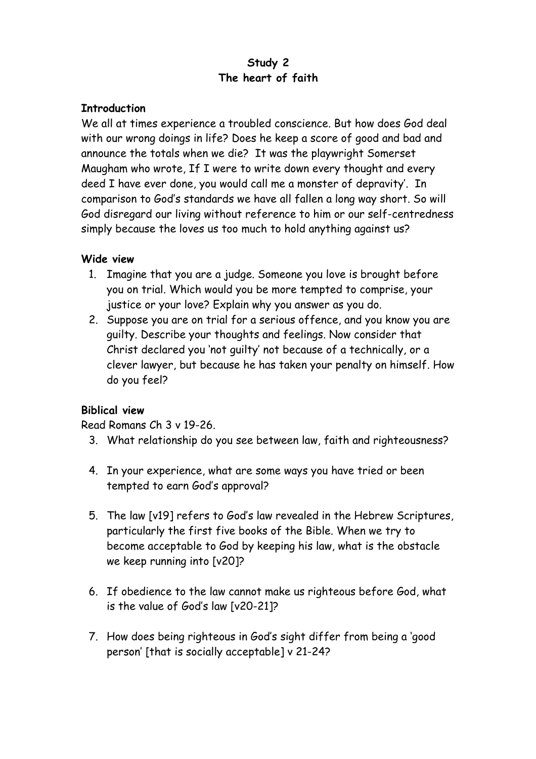## **Study 2 The heart of faith**

## **Introduction**

We all at times experience a troubled conscience. But how does God deal with our wrong doings in life? Does he keep a score of good and bad and announce the totals when we die? It was the playwright Somerset Maugham who wrote, If I were to write down every thought and every deed I have ever done, you would call me a monster of depravity'. In comparison to God's standards we have all fallen a long way short. So will God disregard our living without reference to him or our self-centredness simply because the loves us too much to hold anything against us?

## **Wide view**

- 1. Imagine that you are a judge. Someone you love is brought before you on trial. Which would you be more tempted to comprise, your justice or your love? Explain why you answer as you do.
- 2. Suppose you are on trial for a serious offence, and you know you are guilty. Describe your thoughts and feelings. Now consider that Christ declared you 'not guilty' not because of a technically, or a clever lawyer, but because he has taken your penalty on himself. How do you feel?

## **Biblical view**

Read Romans Ch 3 v 19-26.

- 3. What relationship do you see between law, faith and righteousness?
- 4. In your experience, what are some ways you have tried or been tempted to earn God's approval?
- 5. The law [v19] refers to God's law revealed in the Hebrew Scriptures, particularly the first five books of the Bible. When we try to become acceptable to God by keeping his law, what is the obstacle we keep running into [v20]?
- 6. If obedience to the law cannot make us righteous before God, what is the value of God's law [v20-21]?
- 7. How does being righteous in God's sight differ from being a 'good person' [that is socially acceptable] v 21-24?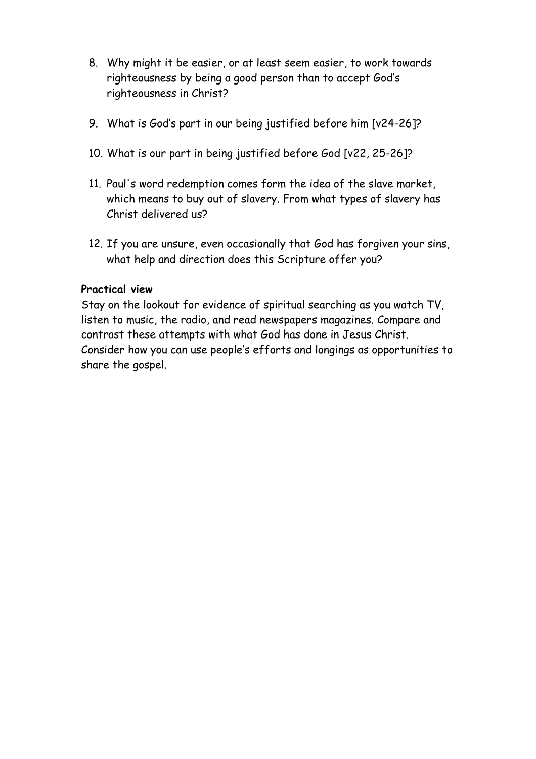- 8. Why might it be easier, or at least seem easier, to work towards righteousness by being a good person than to accept God's righteousness in Christ?
- 9. What is God's part in our being justified before him [v24-26]?
- 10. What is our part in being justified before God [v22, 25-26]?
- 11. Paul's word redemption comes form the idea of the slave market, which means to buy out of slavery. From what types of slavery has Christ delivered us?
- 12. If you are unsure, even occasionally that God has forgiven your sins, what help and direction does this Scripture offer you?

Stay on the lookout for evidence of spiritual searching as you watch TV, listen to music, the radio, and read newspapers magazines. Compare and contrast these attempts with what God has done in Jesus Christ. Consider how you can use people's efforts and longings as opportunities to share the gospel.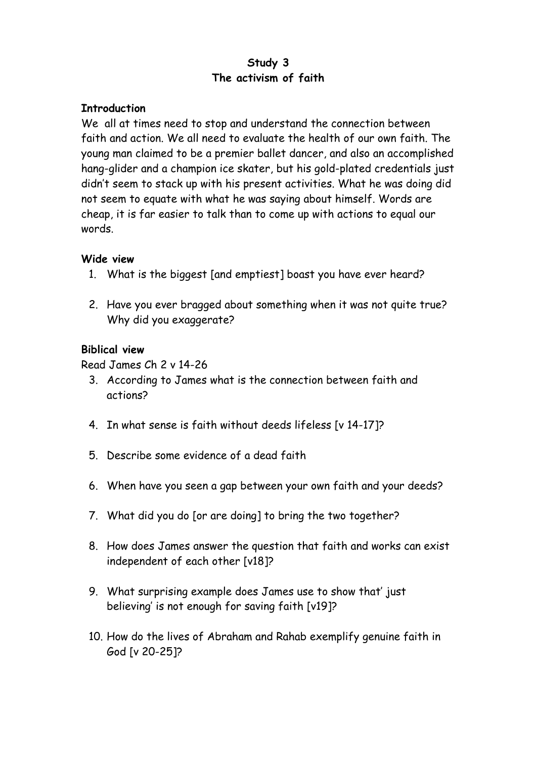## **Study 3 The activism of faith**

## **Introduction**

We all at times need to stop and understand the connection between faith and action. We all need to evaluate the health of our own faith. The young man claimed to be a premier ballet dancer, and also an accomplished hang-glider and a champion ice skater, but his gold-plated credentials just didn't seem to stack up with his present activities. What he was doing did not seem to equate with what he was saying about himself. Words are cheap, it is far easier to talk than to come up with actions to equal our words.

## **Wide view**

- 1. What is the biggest [and emptiest] boast you have ever heard?
- 2. Have you ever bragged about something when it was not quite true? Why did you exaggerate?

## **Biblical view**

Read James Ch 2 v 14-26

- 3. According to James what is the connection between faith and actions?
- 4. In what sense is faith without deeds lifeless [v 14-17]?
- 5. Describe some evidence of a dead faith
- 6. When have you seen a gap between your own faith and your deeds?
- 7. What did you do [or are doing] to bring the two together?
- 8. How does James answer the question that faith and works can exist independent of each other [v18]?
- 9. What surprising example does James use to show that' just believing' is not enough for saving faith [v19]?
- 10. How do the lives of Abraham and Rahab exemplify genuine faith in God [v 20-25]?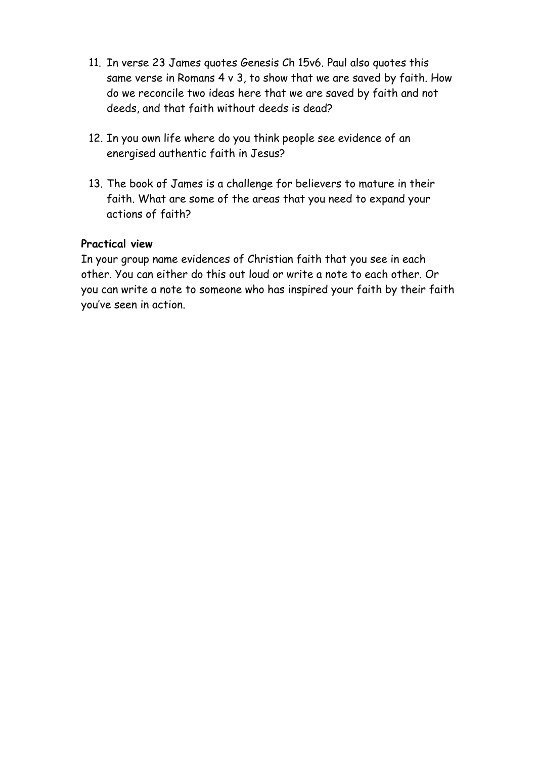- 11. In verse 23 James quotes Genesis Ch 15v6. Paul also quotes this same verse in Romans 4 v 3, to show that we are saved by faith. How do we reconcile two ideas here that we are saved by faith and not deeds, and that faith without deeds is dead?
- 12. In you own life where do you think people see evidence of an energised authentic faith in Jesus?
- 13. The book of James is a challenge for believers to mature in their faith. What are some of the areas that you need to expand your actions of faith?

In your group name evidences of Christian faith that you see in each other. You can either do this out loud or write a note to each other. Or you can write a note to someone who has inspired your faith by their faith you've seen in action.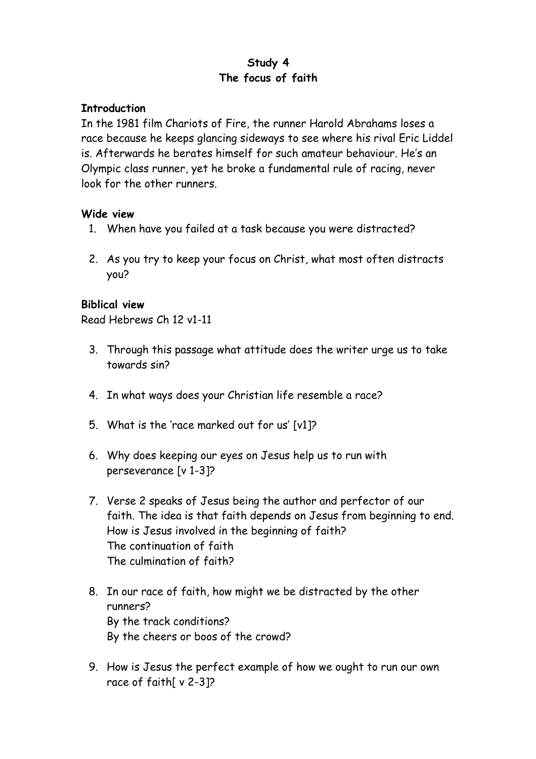## **Study 4 The focus of faith**

## **Introduction**

In the 1981 film Chariots of Fire, the runner Harold Abrahams loses a race because he keeps glancing sideways to see where his rival Eric Liddel is. Afterwards he berates himself for such amateur behaviour. He's an Olympic class runner, yet he broke a fundamental rule of racing, never look for the other runners.

## **Wide view**

- 1. When have you failed at a task because you were distracted?
- 2. As you try to keep your focus on Christ, what most often distracts you?

## **Biblical view**

Read Hebrews Ch 12 v1-11

- 3. Through this passage what attitude does the writer urge us to take towards sin?
- 4. In what ways does your Christian life resemble a race?
- 5. What is the 'race marked out for us' [v1]?
- 6. Why does keeping our eyes on Jesus help us to run with perseverance [v 1-3]?
- 7. Verse 2 speaks of Jesus being the author and perfector of our faith. The idea is that faith depends on Jesus from beginning to end. How is Jesus involved in the beginning of faith? The continuation of faith The culmination of faith?
- 8. In our race of faith, how might we be distracted by the other runners? By the track conditions? By the cheers or boos of the crowd?
- 9. How is Jesus the perfect example of how we ought to run our own race of faith[ v 2-3]?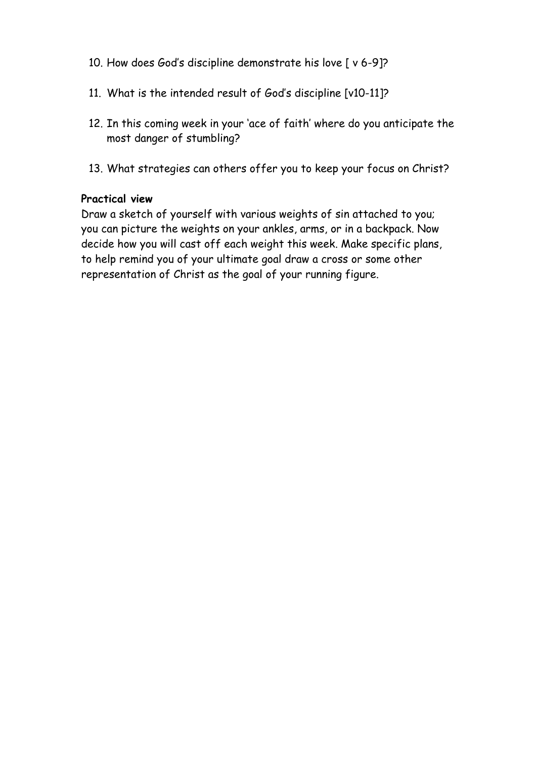- 10. How does God's discipline demonstrate his love [ v 6-9]?
- 11. What is the intended result of God's discipline [v10-11]?
- 12. In this coming week in your 'ace of faith' where do you anticipate the most danger of stumbling?
- 13. What strategies can others offer you to keep your focus on Christ?

Draw a sketch of yourself with various weights of sin attached to you; you can picture the weights on your ankles, arms, or in a backpack. Now decide how you will cast off each weight this week. Make specific plans, to help remind you of your ultimate goal draw a cross or some other representation of Christ as the goal of your running figure.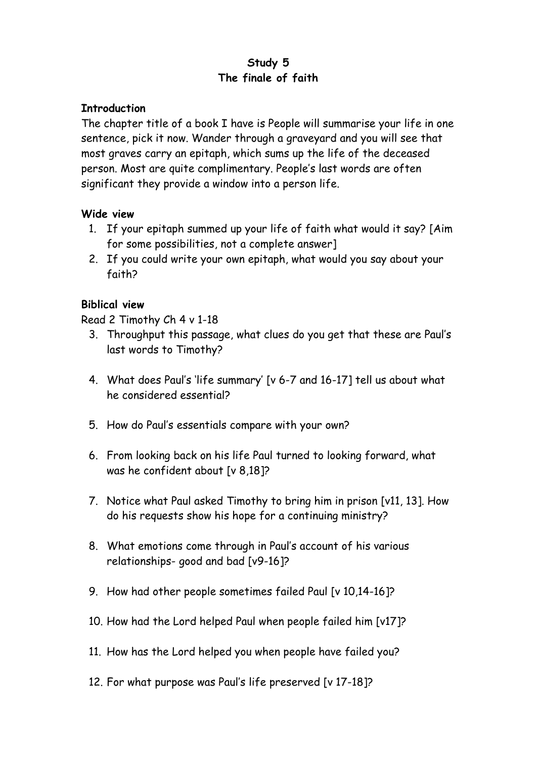# **Study 5 The finale of faith**

## **Introduction**

The chapter title of a book I have is People will summarise your life in one sentence, pick it now. Wander through a graveyard and you will see that most graves carry an epitaph, which sums up the life of the deceased person. Most are quite complimentary. People's last words are often significant they provide a window into a person life.

## **Wide view**

- 1. If your epitaph summed up your life of faith what would it say? [Aim for some possibilities, not a complete answer]
- 2. If you could write your own epitaph, what would you say about your faith?

## **Biblical view**

Read 2 Timothy Ch 4 v 1-18

- 3. Throughput this passage, what clues do you get that these are Paul's last words to Timothy?
- 4. What does Paul's 'life summary' [v 6-7 and 16-17] tell us about what he considered essential?
- 5. How do Paul's essentials compare with your own?
- 6. From looking back on his life Paul turned to looking forward, what was he confident about [v 8,18]?
- 7. Notice what Paul asked Timothy to bring him in prison [v11, 13]. How do his requests show his hope for a continuing ministry?
- 8. What emotions come through in Paul's account of his various relationships- good and bad [v9-16]?
- 9. How had other people sometimes failed Paul [v 10,14-16]?
- 10. How had the Lord helped Paul when people failed him [v17]?
- 11. How has the Lord helped you when people have failed you?
- 12. For what purpose was Paul's life preserved [v 17-18]?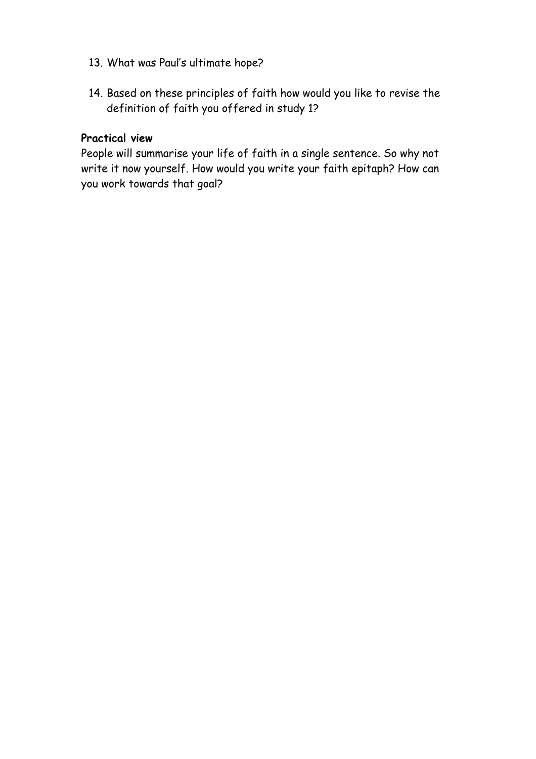- 13. What was Paul's ultimate hope?
- 14. Based on these principles of faith how would you like to revise the definition of faith you offered in study 1?

People will summarise your life of faith in a single sentence. So why not write it now yourself. How would you write your faith epitaph? How can you work towards that goal?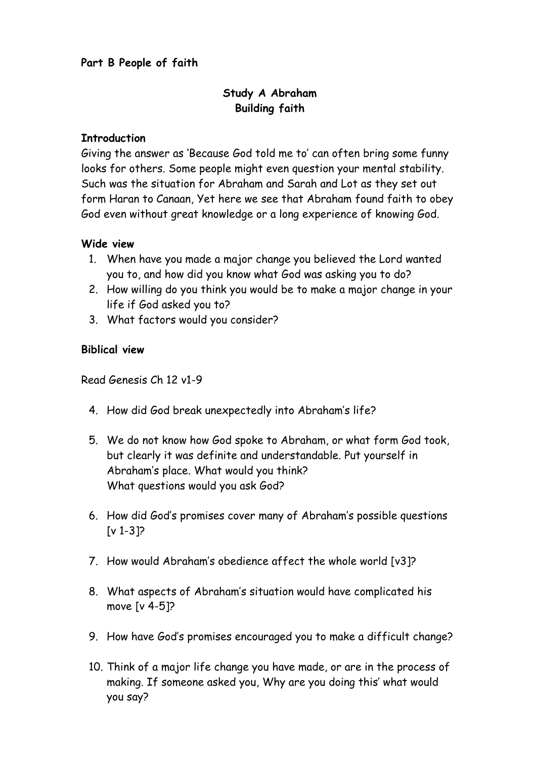## **Part B People of faith**

## **Study A Abraham Building faith**

#### **Introduction**

Giving the answer as 'Because God told me to' can often bring some funny looks for others. Some people might even question your mental stability. Such was the situation for Abraham and Sarah and Lot as they set out form Haran to Canaan, Yet here we see that Abraham found faith to obey God even without great knowledge or a long experience of knowing God.

#### **Wide view**

- 1. When have you made a major change you believed the Lord wanted you to, and how did you know what God was asking you to do?
- 2. How willing do you think you would be to make a major change in your life if God asked you to?
- 3. What factors would you consider?

#### **Biblical view**

Read Genesis Ch 12 v1-9

- 4. How did God break unexpectedly into Abraham's life?
- 5. We do not know how God spoke to Abraham, or what form God took, but clearly it was definite and understandable. Put yourself in Abraham's place. What would you think? What questions would you ask God?
- 6. How did God's promises cover many of Abraham's possible questions  $[V 1-3]$
- 7. How would Abraham's obedience affect the whole world [v3]?
- 8. What aspects of Abraham's situation would have complicated his move [v 4-5]?
- 9. How have God's promises encouraged you to make a difficult change?
- 10. Think of a major life change you have made, or are in the process of making. If someone asked you, Why are you doing this' what would you say?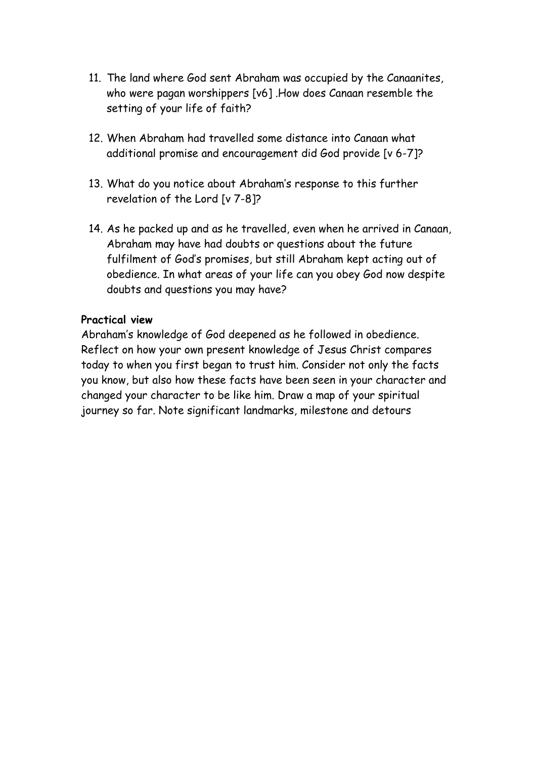- 11. The land where God sent Abraham was occupied by the Canaanites, who were pagan worshippers [v6] .How does Canaan resemble the setting of your life of faith?
- 12. When Abraham had travelled some distance into Canaan what additional promise and encouragement did God provide [v 6-7]?
- 13. What do you notice about Abraham's response to this further revelation of the Lord [v 7-8]?
- 14. As he packed up and as he travelled, even when he arrived in Canaan, Abraham may have had doubts or questions about the future fulfilment of God's promises, but still Abraham kept acting out of obedience. In what areas of your life can you obey God now despite doubts and questions you may have?

Abraham's knowledge of God deepened as he followed in obedience. Reflect on how your own present knowledge of Jesus Christ compares today to when you first began to trust him. Consider not only the facts you know, but also how these facts have been seen in your character and changed your character to be like him. Draw a map of your spiritual journey so far. Note significant landmarks, milestone and detours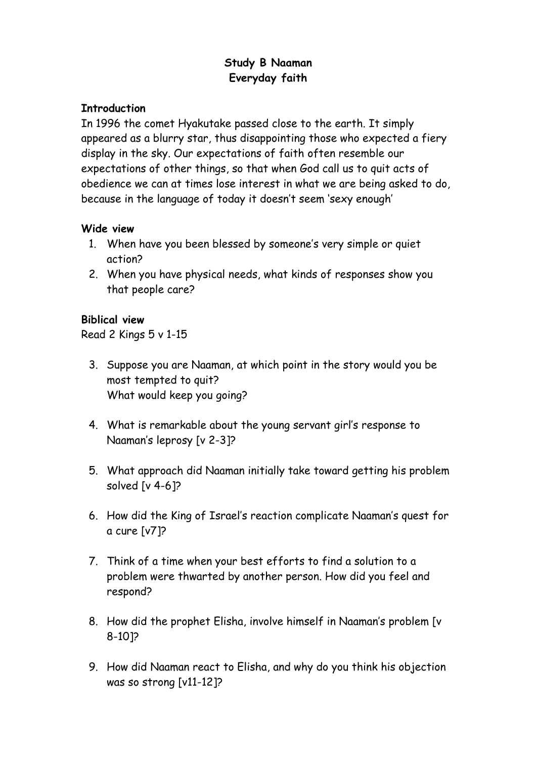# **Study B Naaman Everyday faith**

#### **Introduction**

In 1996 the comet Hyakutake passed close to the earth. It simply appeared as a blurry star, thus disappointing those who expected a fiery display in the sky. Our expectations of faith often resemble our expectations of other things, so that when God call us to quit acts of obedience we can at times lose interest in what we are being asked to do, because in the language of today it doesn't seem 'sexy enough'

## **Wide view**

- 1. When have you been blessed by someone's very simple or quiet action?
- 2. When you have physical needs, what kinds of responses show you that people care?

## **Biblical view**

Read 2 Kings 5 v 1-15

- 3. Suppose you are Naaman, at which point in the story would you be most tempted to quit? What would keep you going?
- 4. What is remarkable about the young servant girl's response to Naaman's leprosy [v 2-3]?
- 5. What approach did Naaman initially take toward getting his problem solved [v 4-6]?
- 6. How did the King of Israel's reaction complicate Naaman's quest for a cure [v7]?
- 7. Think of a time when your best efforts to find a solution to a problem were thwarted by another person. How did you feel and respond?
- 8. How did the prophet Elisha, involve himself in Naaman's problem [v 8-10]?
- 9. How did Naaman react to Elisha, and why do you think his objection was so strong [v11-12]?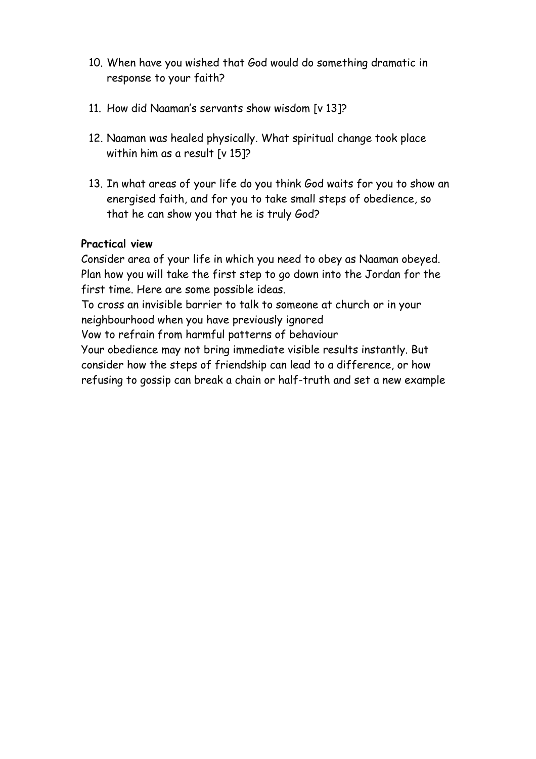- 10. When have you wished that God would do something dramatic in response to your faith?
- 11. How did Naaman's servants show wisdom [v 13]?
- 12. Naaman was healed physically. What spiritual change took place within him as a result [v 15]?
- 13. In what areas of your life do you think God waits for you to show an energised faith, and for you to take small steps of obedience, so that he can show you that he is truly God?

Consider area of your life in which you need to obey as Naaman obeyed. Plan how you will take the first step to go down into the Jordan for the first time. Here are some possible ideas.

To cross an invisible barrier to talk to someone at church or in your neighbourhood when you have previously ignored

Vow to refrain from harmful patterns of behaviour

Your obedience may not bring immediate visible results instantly. But consider how the steps of friendship can lead to a difference, or how refusing to gossip can break a chain or half-truth and set a new example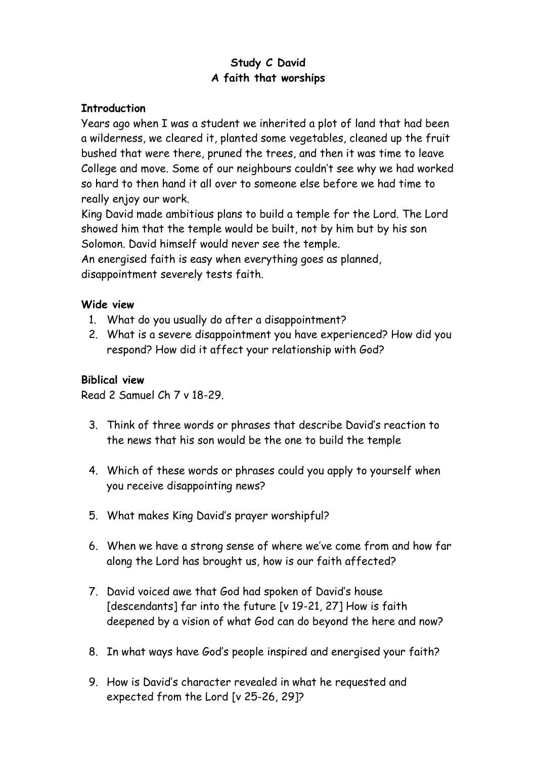# **Study C David A faith that worships**

## **Introduction**

Years ago when I was a student we inherited a plot of land that had been a wilderness, we cleared it, planted some vegetables, cleaned up the fruit bushed that were there, pruned the trees, and then it was time to leave College and move. Some of our neighbours couldn't see why we had worked so hard to then hand it all over to someone else before we had time to really enjoy our work.

King David made ambitious plans to build a temple for the Lord. The Lord showed him that the temple would be built, not by him but by his son Solomon. David himself would never see the temple.

An energised faith is easy when everything goes as planned, disappointment severely tests faith.

## **Wide view**

- 1. What do you usually do after a disappointment?
- 2. What is a severe disappointment you have experienced? How did you respond? How did it affect your relationship with God?

#### **Biblical view**

Read 2 Samuel Ch 7 v 18-29.

- 3. Think of three words or phrases that describe David's reaction to the news that his son would be the one to build the temple
- 4. Which of these words or phrases could you apply to yourself when you receive disappointing news?
- 5. What makes King David's prayer worshipful?
- 6. When we have a strong sense of where we've come from and how far along the Lord has brought us, how is our faith affected?
- 7. David voiced awe that God had spoken of David's house [descendants] far into the future [v 19-21, 27] How is faith deepened by a vision of what God can do beyond the here and now?
- 8. In what ways have God's people inspired and energised your faith?
- 9. How is David's character revealed in what he requested and expected from the Lord [v 25-26, 29]?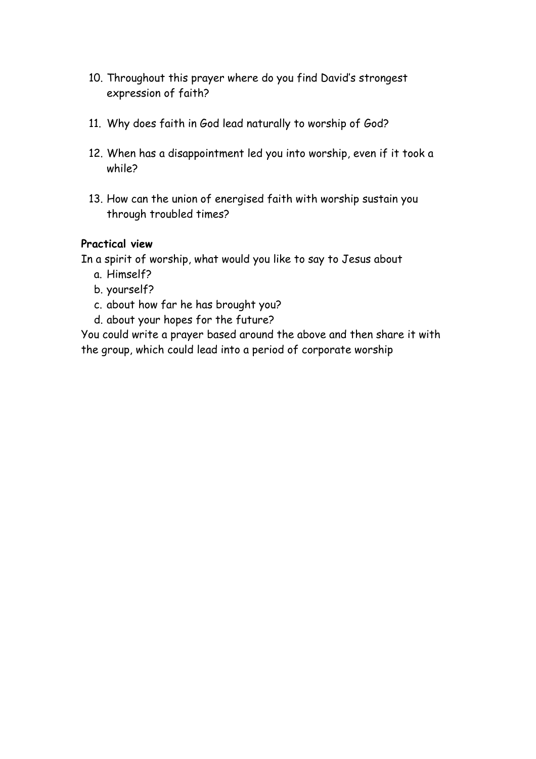- 10. Throughout this prayer where do you find David's strongest expression of faith?
- 11. Why does faith in God lead naturally to worship of God?
- 12. When has a disappointment led you into worship, even if it took a while?
- 13. How can the union of energised faith with worship sustain you through troubled times?

In a spirit of worship, what would you like to say to Jesus about

- a. Himself?
- b. yourself?
- c. about how far he has brought you?
- d. about your hopes for the future?

You could write a prayer based around the above and then share it with the group, which could lead into a period of corporate worship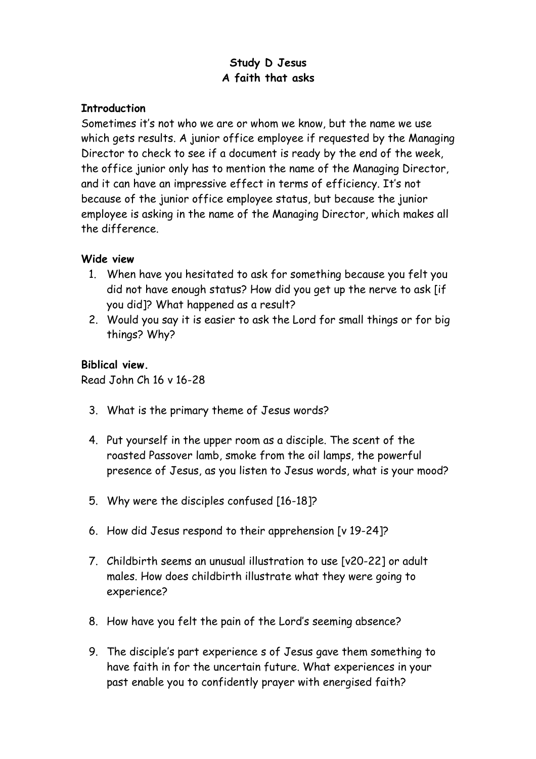# **Study D Jesus A faith that asks**

#### **Introduction**

Sometimes it's not who we are or whom we know, but the name we use which gets results. A junior office employee if requested by the Managing Director to check to see if a document is ready by the end of the week, the office junior only has to mention the name of the Managing Director, and it can have an impressive effect in terms of efficiency. It's not because of the junior office employee status, but because the junior employee is asking in the name of the Managing Director, which makes all the difference.

## **Wide view**

- 1. When have you hesitated to ask for something because you felt you did not have enough status? How did you get up the nerve to ask [if you did]? What happened as a result?
- 2. Would you say it is easier to ask the Lord for small things or for big things? Why?

## **Biblical view.**

Read John Ch 16 v 16-28

- 3. What is the primary theme of Jesus words?
- 4. Put yourself in the upper room as a disciple. The scent of the roasted Passover lamb, smoke from the oil lamps, the powerful presence of Jesus, as you listen to Jesus words, what is your mood?
- 5. Why were the disciples confused [16-18]?
- 6. How did Jesus respond to their apprehension [v 19-24]?
- 7. Childbirth seems an unusual illustration to use [v20-22] or adult males. How does childbirth illustrate what they were going to experience?
- 8. How have you felt the pain of the Lord's seeming absence?
- 9. The disciple's part experience s of Jesus gave them something to have faith in for the uncertain future. What experiences in your past enable you to confidently prayer with energised faith?